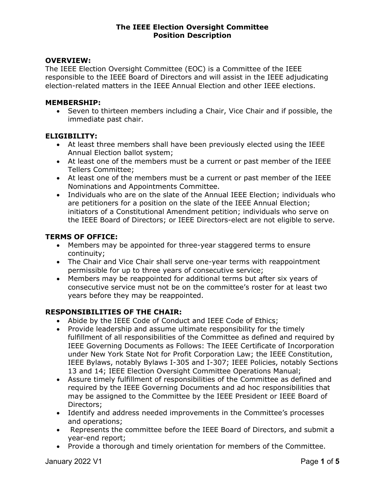### OVERVIEW:

The IEEE Election Oversight Committee (EOC) is a Committee of the IEEE responsible to the IEEE Board of Directors and will assist in the IEEE adjudicating election-related matters in the IEEE Annual Election and other IEEE elections.

### MEMBERSHIP:

 Seven to thirteen members including a Chair, Vice Chair and if possible, the immediate past chair.

### ELIGIBILITY:

- At least three members shall have been previously elected using the IEEE Annual Election ballot system;
- At least one of the members must be a current or past member of the IEEE Tellers Committee;
- At least one of the members must be a current or past member of the IEEE Nominations and Appointments Committee.
- Individuals who are on the slate of the Annual IEEE Election; individuals who are petitioners for a position on the slate of the IEEE Annual Election; initiators of a Constitutional Amendment petition; individuals who serve on the IEEE Board of Directors; or IEEE Directors-elect are not eligible to serve.

# TERMS OF OFFICE:

- Members may be appointed for three-year staggered terms to ensure continuity;
- The Chair and Vice Chair shall serve one-year terms with reappointment permissible for up to three years of consecutive service;
- Members may be reappointed for additional terms but after six years of consecutive service must not be on the committee's roster for at least two years before they may be reappointed.

# RESPONSIBILITIES OF THE CHAIR:

- Abide by the IEEE Code of Conduct and IEEE Code of Ethics;
- Provide leadership and assume ultimate responsibility for the timely fulfillment of all responsibilities of the Committee as defined and required by IEEE Governing Documents as Follows: The IEEE Certificate of Incorporation under New York State Not for Profit Corporation Law; the IEEE Constitution, IEEE Bylaws, notably Bylaws I-305 and I-307; IEEE Policies, notably Sections 13 and 14; IEEE Election Oversight Committee Operations Manual;
- Assure timely fulfillment of responsibilities of the Committee as defined and required by the IEEE Governing Documents and ad hoc responsibilities that may be assigned to the Committee by the IEEE President or IEEE Board of Directors;
- Identify and address needed improvements in the Committee's processes and operations;
- Represents the committee before the IEEE Board of Directors, and submit a year-end report;
- Provide a thorough and timely orientation for members of the Committee.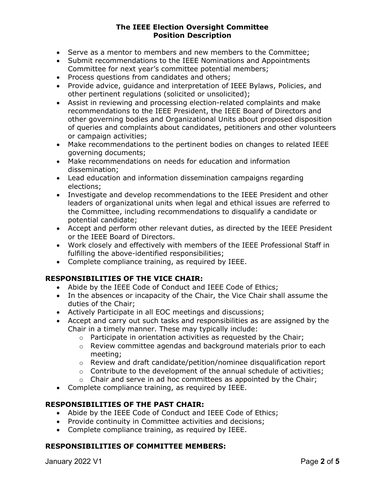- Serve as a mentor to members and new members to the Committee;
- Submit recommendations to the IEEE Nominations and Appointments Committee for next year's committee potential members;
- Process questions from candidates and others;
- Provide advice, guidance and interpretation of IEEE Bylaws, Policies, and other pertinent regulations (solicited or unsolicited);
- Assist in reviewing and processing election-related complaints and make recommendations to the IEEE President, the IEEE Board of Directors and other governing bodies and Organizational Units about proposed disposition of queries and complaints about candidates, petitioners and other volunteers or campaign activities;
- Make recommendations to the pertinent bodies on changes to related IEEE governing documents;
- Make recommendations on needs for education and information dissemination;
- Lead education and information dissemination campaigns regarding elections;
- Investigate and develop recommendations to the IEEE President and other leaders of organizational units when legal and ethical issues are referred to the Committee, including recommendations to disqualify a candidate or potential candidate;
- Accept and perform other relevant duties, as directed by the IEEE President or the IEEE Board of Directors.
- Work closely and effectively with members of the IEEE Professional Staff in fulfilling the above-identified responsibilities;
- Complete compliance training, as required by IEEE.

# RESPONSIBILITIES OF THE VICE CHAIR:

- Abide by the IEEE Code of Conduct and IEEE Code of Ethics;
- In the absences or incapacity of the Chair, the Vice Chair shall assume the duties of the Chair;
- Actively Participate in all EOC meetings and discussions;
- Accept and carry out such tasks and responsibilities as are assigned by the Chair in a timely manner. These may typically include:
	- o Participate in orientation activities as requested by the Chair;
	- o Review committee agendas and background materials prior to each meeting;
	- $\circ$  Review and draft candidate/petition/nominee disqualification report
	- $\circ$  Contribute to the development of the annual schedule of activities;
	- $\circ$  Chair and serve in ad hoc committees as appointed by the Chair;
- Complete compliance training, as required by IEEE.

### RESPONSIBILITIES OF THE PAST CHAIR:

- Abide by the IEEE Code of Conduct and IEEE Code of Ethics;
- Provide continuity in Committee activities and decisions;
- Complete compliance training, as required by IEEE.

# RESPONSIBILITIES OF COMMITTEE MEMBERS:

January 2022 V1 **Page 2 of 5**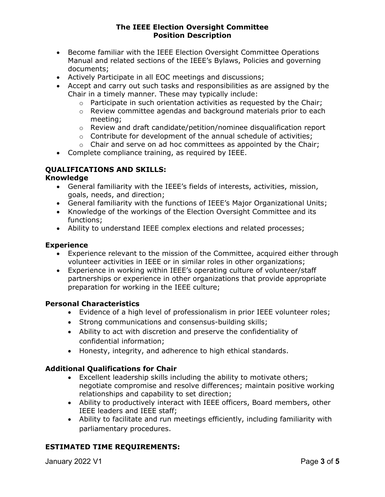- Become familiar with the IEEE Election Oversight Committee Operations Manual and related sections of the IEEE's Bylaws, Policies and governing documents;
- Actively Participate in all EOC meetings and discussions;
- Accept and carry out such tasks and responsibilities as are assigned by the Chair in a timely manner. These may typically include:
	- $\circ$  Participate in such orientation activities as requested by the Chair;
	- o Review committee agendas and background materials prior to each meeting;
	- o Review and draft candidate/petition/nominee disqualification report
	- $\circ$  Contribute for development of the annual schedule of activities;
	- $\circ$  Chair and serve on ad hoc committees as appointed by the Chair;
- Complete compliance training, as required by IEEE.

# QUALIFICATIONS AND SKILLS:

#### Knowledge

- General familiarity with the IEEE's fields of interests, activities, mission, goals, needs, and direction;
- General familiarity with the functions of IEEE's Major Organizational Units;
- Knowledge of the workings of the Election Oversight Committee and its functions;
- Ability to understand IEEE complex elections and related processes;

### Experience

- Experience relevant to the mission of the Committee, acquired either through volunteer activities in IEEE or in similar roles in other organizations;
- Experience in working within IEEE's operating culture of volunteer/staff partnerships or experience in other organizations that provide appropriate preparation for working in the IEEE culture;

### Personal Characteristics

- Evidence of a high level of professionalism in prior IEEE volunteer roles;
- Strong communications and consensus-building skills;
- Ability to act with discretion and preserve the confidentiality of confidential information;
- Honesty, integrity, and adherence to high ethical standards.

# Additional Qualifications for Chair

- Excellent leadership skills including the ability to motivate others; negotiate compromise and resolve differences; maintain positive working relationships and capability to set direction;
- Ability to productively interact with IEEE officers, Board members, other IEEE leaders and IEEE staff;
- Ability to facilitate and run meetings efficiently, including familiarity with parliamentary procedures.

# ESTIMATED TIME REQUIREMENTS:

January 2022 V1 **Page 3 of 5**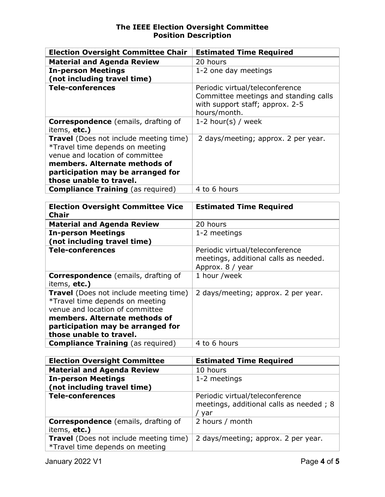| <b>Election Oversight Committee Chair</b>                          | <b>Estimated Time Required</b>                                           |
|--------------------------------------------------------------------|--------------------------------------------------------------------------|
| <b>Material and Agenda Review</b>                                  | 20 hours                                                                 |
| <b>In-person Meetings</b>                                          | 1-2 one day meetings                                                     |
| (not including travel time)                                        |                                                                          |
| <b>Tele-conferences</b>                                            | Periodic virtual/teleconference<br>Committee meetings and standing calls |
|                                                                    | with support staff; approx. 2-5                                          |
|                                                                    | hours/month.                                                             |
| <b>Correspondence</b> (emails, drafting of                         | 1-2 hour(s) / week                                                       |
| items, etc.)                                                       |                                                                          |
| Travel (Does not include meeting time)                             | 2 days/meeting; approx. 2 per year.                                      |
| *Travel time depends on meeting                                    |                                                                          |
| venue and location of committee                                    |                                                                          |
| members. Alternate methods of<br>participation may be arranged for |                                                                          |
| those unable to travel.                                            |                                                                          |
| <b>Compliance Training (as required)</b>                           | 4 to 6 hours                                                             |
|                                                                    |                                                                          |
| <b>Election Oversight Committee Vice</b>                           | <b>Estimated Time Required</b>                                           |
| <b>Chair</b>                                                       |                                                                          |
| <b>Material and Agenda Review</b>                                  | 20 hours                                                                 |
| <b>In-person Meetings</b>                                          | 1-2 meetings                                                             |
| (not including travel time)                                        |                                                                          |
| <b>Tele-conferences</b>                                            | Periodic virtual/teleconference                                          |
|                                                                    | meetings, additional calls as needed.                                    |
|                                                                    | Approx. 8 / year                                                         |
| Correspondence (emails, drafting of<br>items, etc.)                | 1 hour /week                                                             |
| Travel (Does not include meeting time)                             | 2 days/meeting; approx. 2 per year.                                      |
| *Travel time depends on meeting                                    |                                                                          |
| venue and location of committee                                    |                                                                          |
| members. Alternate methods of                                      |                                                                          |
| participation may be arranged for                                  |                                                                          |
| those unable to travel.                                            |                                                                          |
| <b>Compliance Training (as required)</b>                           | 4 to 6 hours                                                             |
|                                                                    |                                                                          |
| <b>Election Oversight Committee</b>                                | <b>Estimated Time Required</b>                                           |

| <b>Election Oversight Committee</b>                                              | <b>Estimated Time Required</b>                                                    |
|----------------------------------------------------------------------------------|-----------------------------------------------------------------------------------|
| <b>Material and Agenda Review</b>                                                | 10 hours                                                                          |
| <b>In-person Meetings</b>                                                        | 1-2 meetings                                                                      |
|                                                                                  |                                                                                   |
| <b>Tele-conferences</b>                                                          | Periodic virtual/teleconference<br>meetings, additional calls as needed; 8<br>var |
| <b>Correspondence</b> (emails, drafting of                                       | 2 hours / month                                                                   |
|                                                                                  |                                                                                   |
| <b>Travel</b> (Does not include meeting time)<br>*Travel time depends on meeting | 2 days/meeting; approx. 2 per year.                                               |
| (not including travel time)<br>items, etc.)                                      |                                                                                   |